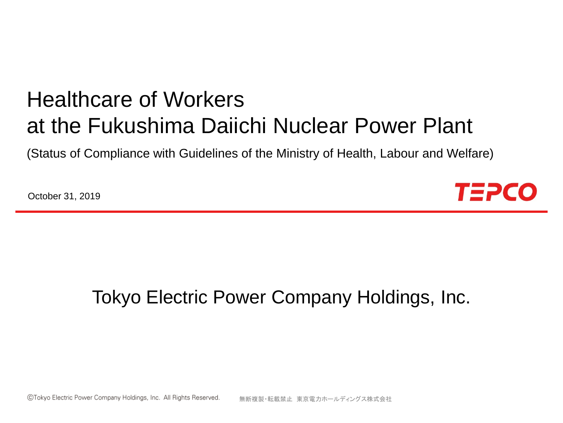# Healthcare of Workers at the Fukushima Daiichi Nuclear Power Plant

(Status of Compliance with Guidelines of the Ministry of Health, Labour and Welfare)

October 31, 2019



### Tokyo Electric Power Company Holdings, Inc.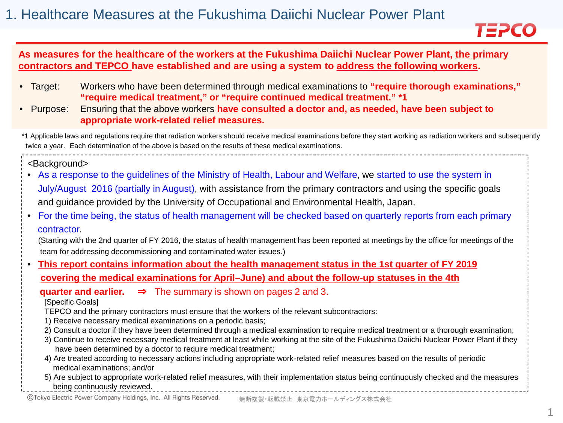

#### **As measures for the healthcare of the workers at the Fukushima Daiichi Nuclear Power Plant, the primary contractors and TEPCO have established and are using a system to address the following workers.**

- Target: Workers who have been determined through medical examinations to **"require thorough examinations," "require medical treatment," or "require continued medical treatment." \*1**
- Purpose: Ensuring that the above workers **have consulted a doctor and, as needed, have been subject to appropriate work-related relief measures.**

\*1 Applicable laws and regulations require that radiation workers should receive medical examinations before they start working as radiation workers and subsequently twice a year. Each determination of the above is based on the results of these medical examinations.

<Background>

- As a response to the guidelines of the Ministry of Health, Labour and Welfare, we started to use the system in July/August 2016 (partially in August), with assistance from the primary contractors and using the specific goals and guidance provided by the University of Occupational and Environmental Health, Japan.
- For the time being, the status of health management will be checked based on quarterly reports from each primary contractor.

(Starting with the 2nd quarter of FY 2016, the status of health management has been reported at meetings by the office for meetings of the team for addressing decommissioning and contaminated water issues.)

• **This report contains information about the health management status in the 1st quarter of FY 2019 covering the medical examinations for April–June) and about the follow-up statuses in the 4th**

**quarter and earlier.** ⇒ The summary is shown on pages 2 and 3.

[Specific Goals]

TEPCO and the primary contractors must ensure that the workers of the relevant subcontractors:

- 1) Receive necessary medical examinations on a periodic basis;
- 2) Consult a doctor if they have been determined through a medical examination to require medical treatment or a thorough examination;
- 3) Continue to receive necessary medical treatment at least while working at the site of the Fukushima Daiichi Nuclear Power Plant if they have been determined by a doctor to require medical treatment;
- 4) Are treated according to necessary actions including appropriate work-related relief measures based on the results of periodic medical examinations; and/or

5) Are subject to appropriate work-related relief measures, with their implementation status being continuously checked and the measures being continuously reviewed.

©Tokyo Electric Power Company Holdings, Inc. All Rights Reserved. 無断複製・転載禁止 東京電力ホールディングス株式会社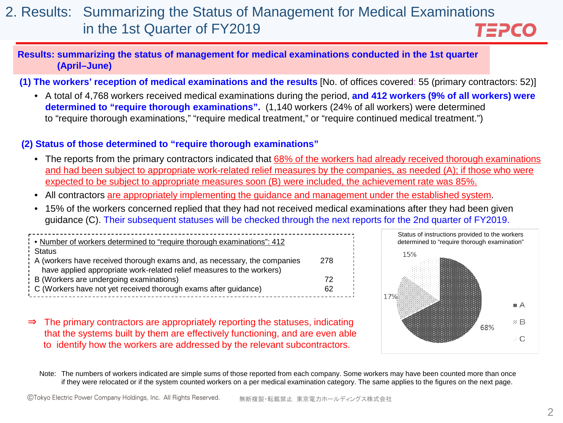#### 2. Results: Summarizing the Status of Management for Medical Examinations in the 1st Quarter of FY2019 TEPCO

#### **Results: summarizing the status of management for medical examinations conducted in the 1st quarter (April–June)**

**(1) The workers' reception of medical examinations and the results** [No. of offices covered: 55 (primary contractors: 52)]

• A total of 4,768 workers received medical examinations during the period, **and 412 workers (9% of all workers) were determined to "require thorough examinations".** (1,140 workers (24% of all workers) were determined to "require thorough examinations," "require medical treatment," or "require continued medical treatment.")

#### **(2) Status of those determined to "require thorough examinations"**

- The reports from the primary contractors indicated that 68% of the workers had already received thorough examinations and had been subject to appropriate work-related relief measures by the companies, as needed (A); if those who were expected to be subject to appropriate measures soon (B) were included, the achievement rate was 85%.
- All contractors are appropriately implementing the guidance and management under the established system.
- 15% of the workers concerned replied that they had not received medical examinations after they had been given guidance (C). Their subsequent statuses will be checked through the next reports for the 2nd quarter of FY2019.

| Number of workers determined to "require thorough examinations": 412               |     |
|------------------------------------------------------------------------------------|-----|
| Status<br>A (workers have received thorough exams and, as necessary, the companies | 278 |
| have applied appropriate work-related relief measures to the workers)              |     |
| B (Workers are undergoing examinations)                                            | 72  |
| C (Workers have not yet received thorough exams after guidance)                    | 62  |



⇒ The primary contractors are appropriately reporting the statuses, indicating that the systems built by them are effectively functioning, and are even able to identify how the workers are addressed by the relevant subcontractors.

Note: The numbers of workers indicated are simple sums of those reported from each company. Some workers may have been counted more than once if they were relocated or if the system counted workers on a per medical examination category. The same applies to the figures on the next page.